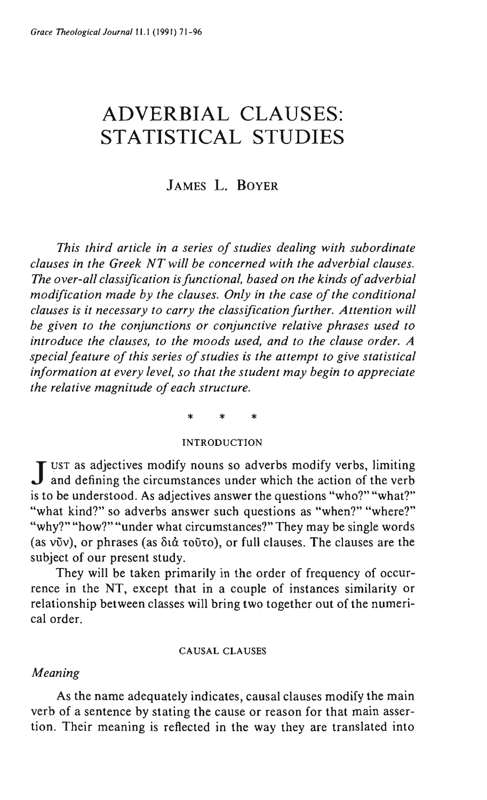# **ADVERBIAL CLAUSES: STATISTICAL STUDIES**

# JAMES L. BOYER

*This third article in a series of studies dealing with subordinate clauses in the Greek NT will be concerned with the adverbial clauses. The over-all classification is functional, based on the kinds of adverbial modification made by the clauses. Only in the case of the conditional clauses is it necessary to carry the classification further. Attention will be given to the conjunctions or conjunctive relative phrases used to introduce the clauses, to the moods used, and to the clause order. A special feature of this series of studies is the attempt to give statistical information at every level, so that the student may begin to appreciate the relative magnitude of each structure.* 

# \* \* \*

#### INTRODUCTION

J UST as adjectives modify nouns so adverbs modify verbs, limiting and defining the circumstances under which the action of the verb is to be understood. As adjectives answer the questions "who?" "what?" "what kind?" so adverbs answer such questions as "when?" "where?" "why?" "how?" "under what circumstances?" They may be single words (as v $\tilde{v}$ v), or phrases (as  $\delta t \dot{\alpha}$  to $\tilde{v}$ to), or full clauses. The clauses are the subject of our present study.

They will be taken primarily in the order of frequency of occurrence in the NT, except that in a couple of instances similarity or relationship between classes will bring two together out of the numerical order.

#### CA USAL CLAUSES

#### *Meaning*

As the name adequately indicates, causal clauses modify the main verb of a sentence by stating the cause or reason for that main assertion. Their meaning is reflected in the way they are translated into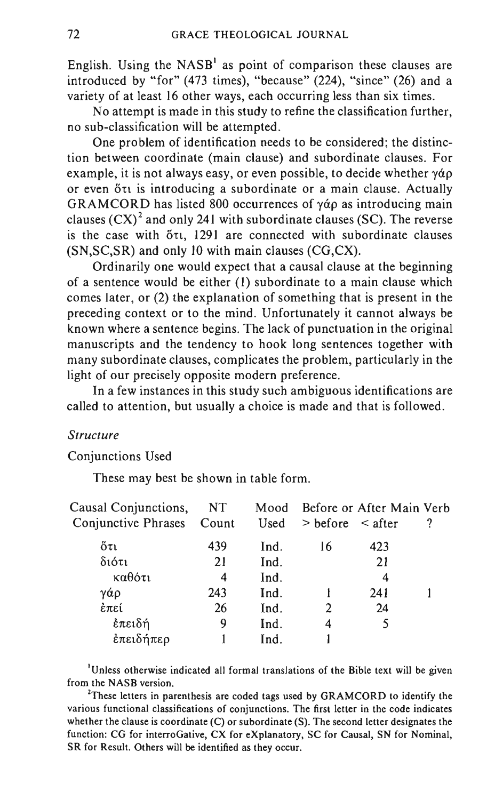English. Using the  $NASB<sup>1</sup>$  as point of comparison these clauses are introduced by "for" (473 times), "because" (224), "since" (26) and a variety of at least 16 other ways, each occurring less than six times.

No attempt is made in this study to refine the classification further, no sub-classification will be attempted.

One problem of identification needs to be considered; the distinction between coordinate (main clause) and subordinate clauses. For example, it is not always easy, or even possible, to decide whether  $\gamma \dot{\alpha} \rho$ or even  $\delta \tau$  is introducing a subordinate or a main clause. Actually GRAMCORD has listed 800 occurrences of  $\gamma \dot{\alpha} \rho$  as introducing main clauses  $(CX)^2$  and only 241 with subordinate clauses (SC). The reverse is the case with  $\delta \tau$ , 1291 are connected with subordinate clauses (SN,SC,SR) and only 10 with main clauses (CG,CX).

Ordinarily one would expect that a causal clause at the beginning of a sentence would be either (1) subordinate to a main clause which comes later, or (2) the explanation of something that is present in the preceding context or to the mind. Unfortunately it cannot always be known where a sentence begins. The lack of punctuation in the original manuscripts and the tendency to hook long sentences together with many subordinate clauses, complicates the problem, particularly in the light of our precisely opposite modern preference.

In a few instances in this study such ambiguous identifications are called to attention, but usually a choice is made and that is followed.

#### *Structure*

### Conjunctions Used

These may best be shown in table form.

| Causal Conjunctions,      | NT  |      | Mood Before or After Main Verb |     |  |
|---------------------------|-----|------|--------------------------------|-----|--|
| Conjunctive Phrases Count |     | Used | $>$ before $\leq$ after        |     |  |
| őτι                       | 439 | Ind. | 16                             | 423 |  |
| διότι                     | 21  | Ind. |                                | 21  |  |
| καθότι                    | 4   | Ind. |                                | 4   |  |
| γάρ                       | 243 | Ind. |                                | 241 |  |
| έπεί                      | 26  | Ind. | 2                              | 24  |  |
| έπειδή                    | 9   | Ind. | 4                              |     |  |
| έπειδήπερ                 |     | Ind. |                                |     |  |
|                           |     |      |                                |     |  |

<sup>1</sup>Unless otherwise indicated all formal translations of the Bible text will be given from the NASB version.

<sup>2</sup>These letters in parenthesis are coded tags used by GRAMCORD to identify the various functional classifications of conjunctions. The first letter in the code indicates whether the clause is coordinate (C) or subordinate (S). The second letter designates the function: CG for interroGative, CX for eXplanatory, SC for Causal, SN for Nominal, SR for Result. Others will be identified as they occur.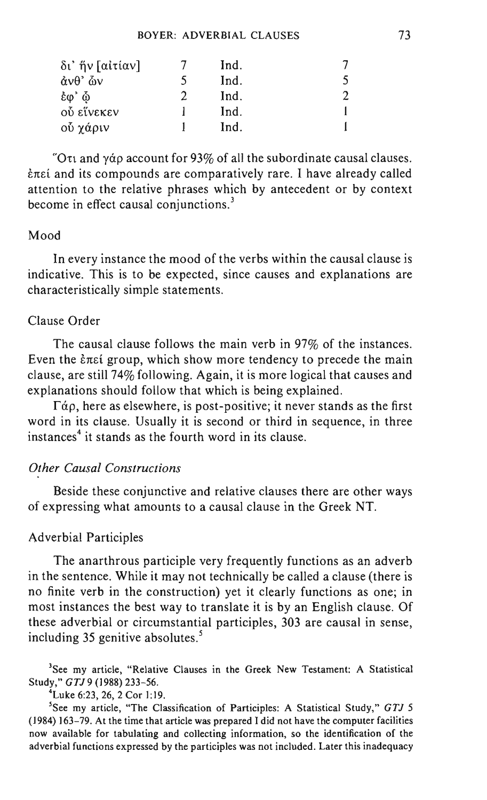| δι' ἥν [αἰτίαν]                     | Ind. |  |
|-------------------------------------|------|--|
| $\dot{\alpha}$ νθ' $\dot{\omega}$ ν | Ind. |  |
| έω' ώ                               | Ind. |  |
| ού είνεκεν                          | Ind. |  |
| οὖ χάριν                            | Ind. |  |

"Oth and y approace Ount for 93% of all the subordinate causal clauses. *End* and its compounds are comparatively rare. I have already called attention to the relative phrases which by antecedent or by context become in effect causal conjunctions.<sup>3</sup>

#### Mood

**In** every instance the mood of the verbs within the causal clause is indicative. This is to be expected, since causes and explanations are characteristically simple statements.

#### Clause Order

The causal clause follows the main verb in 97% of the instances. Even the *End* group, which show more tendency to precede the main clause, are still 74% following. Again, it is more logical that causes and explanations should follow that which is being explained.

 $\Gamma \dot{\alpha} \rho$ , here as elsewhere, is post-positive; it never stands as the first word in its clause. Usually it is second or third in sequence, in three  $instance<sub>4</sub>$  it stands as the fourth word in its clause.

#### *Other Causal Constructions*

Beside these conjunctive and relative clauses there are other ways of expressing what amounts to a causal clause in the Greek NT.

### Adverbial Participles

The anarthrous participle very frequently functions as an adverb in the sentence. While it may not technically be called a clause (there is no finite verb in the construction) yet it clearly functions as one; in most instances the best way to translate it is by an English clause. Of these adverbial or circumstantial participles, 303 are causal in sense, including  $35$  genitive absolutes.<sup>5</sup>

<sup>3</sup>See my article, "Relative Clauses in the Greek New Testament: A Statistical Study," *GTJ9* (1988) 233-56.

4Luke 6:23, 26, 2 Cor 1:19.

5See my article, "The Classification of Participles: A Statistical Study," *GTJ 5*  (1984) 163-79. At the time that article was prepared I did not have the computer facilities now available for tabulating and collecting information, so the identification of the adverbial functions expressed by the participles was not included. Later this inadequacy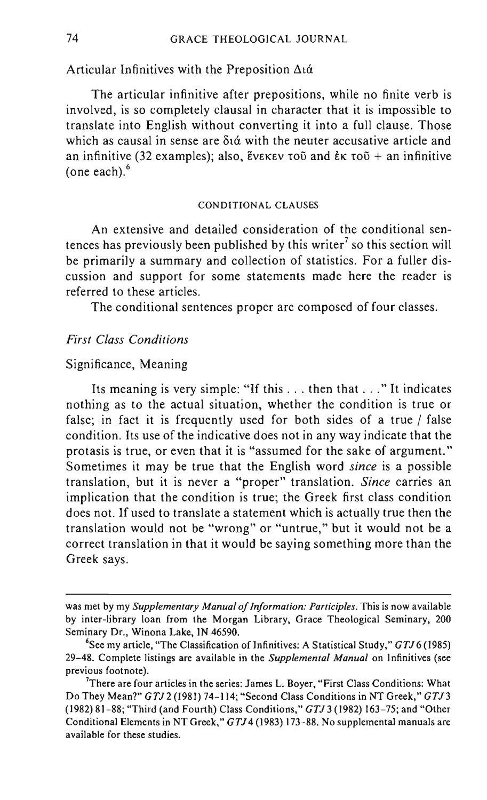#### Articular Infinitives with the Preposition  $\Delta t \dot{\alpha}$

The articular infinitive after prepositions, while no finite verb is involved, is so completely clausal in character that it is impossible to translate into English without converting it into a full clause. Those which as causal in sense are  $\delta t \alpha$  with the neuter accusative article and an infinitive (32 examples); also,  $\epsilon$ v $\epsilon$ K $\epsilon$ v  $\epsilon$ ou and  $\epsilon$  $\kappa$   $\tau$ ou + an infinitive (one each). $<sup>6</sup>$ </sup>

#### CONDITIONAL CLAUSES

An extensive and detailed consideration of the conditional sentences has previously been published by this writer<sup>7</sup> so this section will be primarily a summary and collection of statistics. For a fuller discussion and support for some statements made here the reader is referred to these articles.

The conditional sentences proper are composed of four classes.

#### *First Class Conditions*

#### Significance, Meaning

Its meaning is very simple: "If this ... then that ... " It indicates nothing as to the actual situation, whether the condition is true or false; in fact it is frequently used for both sides of a true / false condition. Its use of the indicative does not in any way indicate that the protasis is true, or even that it is "assumed for the sake of argument." Sometimes it may be true that the English word *since* is a possible translation, but it is never a "proper" translation. *Since* carries an implication that the condition is true; the Greek first class condition does not. If used to translate a statement which is actually true then the translation would not be "wrong" or "untrue," but it would not be a correct translation in that it would be saying something more than the Greek says.

was met by my *Supplementary Manual of Information: Participles.* This is now available by inter-library loan from the Morgan Library, Grace Theological Seminary, 200 Seminary Dr., Winona Lake, IN 46590.

<sup>&</sup>lt;sup>6</sup>See my article, "The Classification of Infinitives: A Statistical Study," *GTJ* 6 (1985) 29-48. Complete listings are available in the *Supplemental Manual* on Infinitives (see previous footnote).

<sup>&</sup>lt;sup>7</sup>There are four articles in the series: James L. Boyer, "First Class Conditions: What Do They Mean?" *GTJ2* (1981) 74-114; "Second Class Conditions in NT Greek," *GTJ3*  (1982) 81-88; "Third (and Fourth) Class Conditions," *GTJ* 3 (1982) 163-75; and "Other Conditional Elements in NT Greek," *GTJ* 4 (1983) 173-88. No supplemental manuals are available for these studies.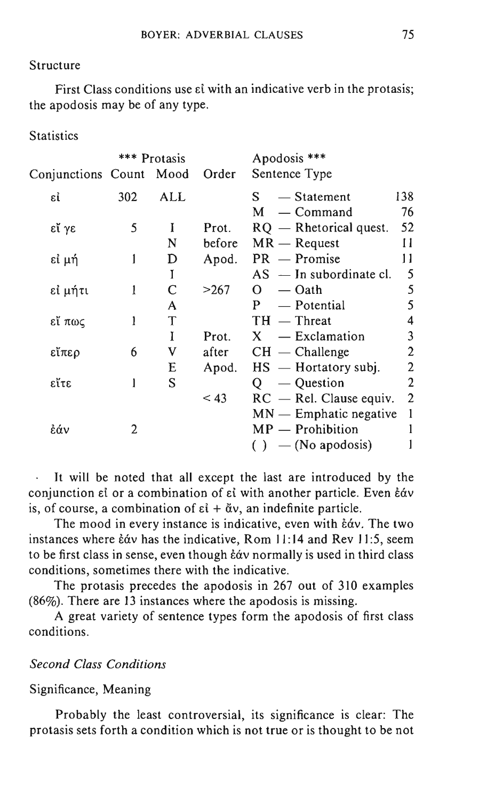#### Structure

First Class conditions use  $\epsilon i$  with an indicative verb in the protasis; the apodosis may be of any type.

**Statistics** 

|                         |     | *** Protasis |        | Apodosis ***              |                |
|-------------------------|-----|--------------|--------|---------------------------|----------------|
| Conjunctions Count Mood |     |              | Order  | Sentence Type             |                |
| εί                      | 302 | ALL          |        | $-$ Statement<br>S.       | 138            |
|                         |     |              |        | — Command<br>M            | 76             |
| εἴ γε                   | 5   | I            | Prot.  | $RQ$ — Rhetorical quest.  | 52             |
|                         |     | N            | before | $MR - Request$            | П              |
| εί μή                   | 1   | D            | Apod.  | $PR$ – Promise            | 11             |
|                         |     | Ī            |        | $AS$ — In subordinate cl. | 5              |
| εἰ μήτι                 | 1   | C            | >267   | $-\Omega$ ath<br>$\Omega$ | 5              |
|                         |     | A            |        | — Potential<br>P          | 5              |
| εἴ πως                  | 1   | T            |        | $TH$ — Threat             | 4              |
|                         |     | I            | Prot.  | $X - Exclamation$         | 3              |
| εἴπερ                   | 6   | V            | after  | $CH$ — Challenge          | 2              |
|                         |     | E            | Apod.  | $HS$ — Hortatory subj.    | $\overline{c}$ |
| εἴτε                    |     | S            |        | - Question<br>O.          | $\mathfrak{p}$ |
|                         |     |              | < 43   | $RC$ – Rel. Clause equiv. | $\mathfrak{2}$ |
|                         |     |              |        | $MN$ — Emphatic negative  | 1              |
| ἐάν                     | 2   |              |        | $MP -$ Prohibition        |                |
|                         |     |              |        | $( ) - ( No a podosis)$   |                |

It will be noted that all except the last are introduced by the conjunction  $\varepsilon$  or a combination of  $\varepsilon$  with another particle. Even  $\varepsilon$  av is, of course, a combination of  $\varepsilon i + \check{\alpha} v$ , an indefinite particle.

The mood in every instance is indicative, even with  $\epsilon \dot{\alpha}$ . The two instances where  $\frac{2}{3}$  has the indicative, Rom 11:14 and Rev 11:5, seem to be first class in sense, even though  $\frac{2}{3}$  cormally is used in third class conditions, sometimes there with the indicative.

The protasis precedes the apodosis in 267 out of 310 examples (86%). There are 13 instances where the apodosis is missing.

A great variety of sentence types form the apodosis of first class conditions.

### *Second Class Conditions*

#### Significance, Meaning

Probably the least controversial, its significance is clear: The protasis sets forth a condition which is not true or is thought to be not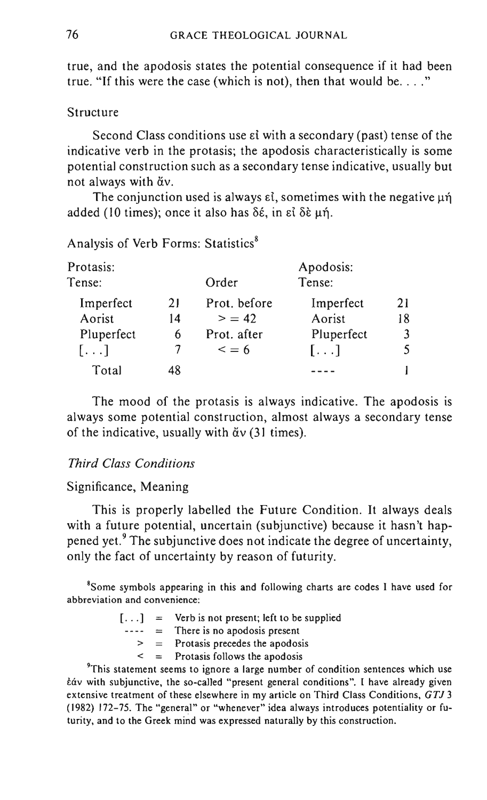true, and the apodosis states the potential consequence if it had been true. "If this were the case (which is not), then that would be...."

#### Structure

Second Class conditions use  $\varepsilon i$  with a secondary (past) tense of the indicative verb in the protasis; the apodosis characteristically is some potential construction such as a secondary tense indicative, usually but not always with  $\ddot{\alpha}v$ .

The conjunction used is always  $\varepsilon i$ , sometimes with the negative  $\mu \eta$ added (10 times); once it also has δέ, in εί δε μή.

Analysis of Verb Forms: Statistics<sup>8</sup>

| Protasis:  |    |              | Apodosis:  |    |
|------------|----|--------------|------------|----|
| Tense:     |    | Order        | Tense:     |    |
| Imperfect  | 21 | Prot. before | Imperfect  | 21 |
| Aorist     | 14 | > 42         | Aorist     | 18 |
| Pluperfect | 6  | Prot. after  | Pluperfect |    |
| $[\ldots]$ |    | $\leq$ = 6   | $[\ldots]$ |    |
| Total      | 48 |              |            |    |

The mood of the protasis is always indicative. The apodosis is always some potential construction, almost always a secondary tense of the indicative, usually with  $\tilde{\alpha}v$  (31 times).

### *Third Class Conditions*

### Significance, Meaning

This is properly labelled the Future Condition. It always deals with a future potential, uncertain (subjunctive) because it hasn't happened yet.<sup>9</sup> The subjunctive does not indicate the degree of uncertainty, only the fact of uncertainty by reason of futurity.

<sup>8</sup>Some symbols appearing in this and following charts are codes I have used for abbreviation and convenience:

- $[\dots] = \text{Verb}$  is not present; left to be supplied
	- $---$  = There is no apodosis present
		- $>$  = Protasis precedes the apodosis
		- $\leq$  = Protasis follows the apodosis

<sup>9</sup>This statement seems to ignore a large number of condition sentences which use tav with subjunctive, the so-called "present general conditions". I have already given extensive treatment of these elsewhere in my article on Third Class Conditions, *GTJ 3*  (1982) 172-75. The "general" or "whenever" idea always introduces potentiality or futurity, and to the Greek mind was expressed naturally by this construction.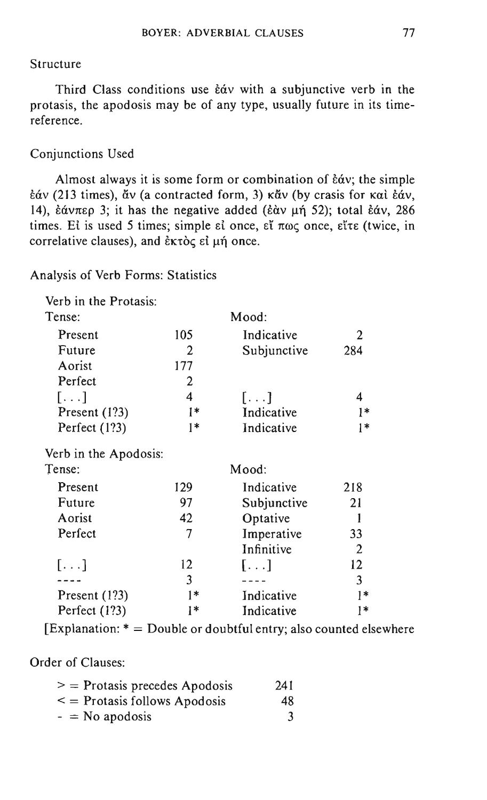#### Structure

Third Class conditions use  $\dot{\epsilon}$  av with a subjunctive verb in the protasis, the apodosis may be of any type, usually future in its timereference.

### Conjunctions Used

Almost always it is some form or combination of  $\dot{\epsilon}$   $\dot{\alpha}$  v; the simple  $\frac{\partial u}{\partial y}$  (213 times),  $\frac{\partial v}{\partial y}$  (a contracted form, 3) κάν (by crasis for και εάν, 14), έάνπερ 3; it has the negative added (εάν μή 52); total εάν, 286 times. El is used 5 times; simple el once,  $\epsilon\zeta$   $\pi\omega\zeta$  once,  $\epsilon\zeta\tau\epsilon$  (twice, in correlative clauses), and  $\epsilon$ <sub>K</sub> $\alpha$ <sub>c</sub>  $\epsilon$ *i*  $\mu$ n once.

Analysis of Verb Forms: Statistics

|  |  |  |  | Verb in the Protasis: |
|--|--|--|--|-----------------------|
|--|--|--|--|-----------------------|

| Tense:                |     | Mood:       |      |
|-----------------------|-----|-------------|------|
|                       |     |             |      |
| Present               | 105 | Indicative  | 2    |
| Future                | 2   | Subjunctive | 284  |
| Aorist                | 177 |             |      |
| Perfect               | 2   |             |      |
| $[\ldots]$            | 4   | $[\ldots]$  | 4    |
| Present (1?3)         | l*  | Indicative  | $1*$ |
| Perfect (1?3)         | 1*  | Indicative  | $1*$ |
| Verb in the Apodosis: |     |             |      |
| Tense:                |     | Mood:       |      |
| Present               | 129 | Indicative  | 218  |
| Future                | 97  | Subjunctive | 21   |
| Aorist                | 42  | Optative    | 1    |
| Perfect               | 7   | Imperative  | 33   |
|                       |     | Infinitive  | 2    |
| $[\ldots]$            | 12  | $[\ldots]$  | 12   |
|                       | 3   |             | 3    |
| Present (1?3)         | 1*  | Indicative  | l*   |
| Perfect (1?3)         | 1*  | Indicative  | 1*   |

[Explanation:  $* =$  Double or doubtful entry; also counted elsewhere

Order of Clauses:

|  | $\mathcal{P} =$ Protasis precedes Apodosis | 241 |
|--|--------------------------------------------|-----|
|  | $\leq$ = Protasis follows Apodosis         | 48. |
|  | $-$ = No apodosis                          |     |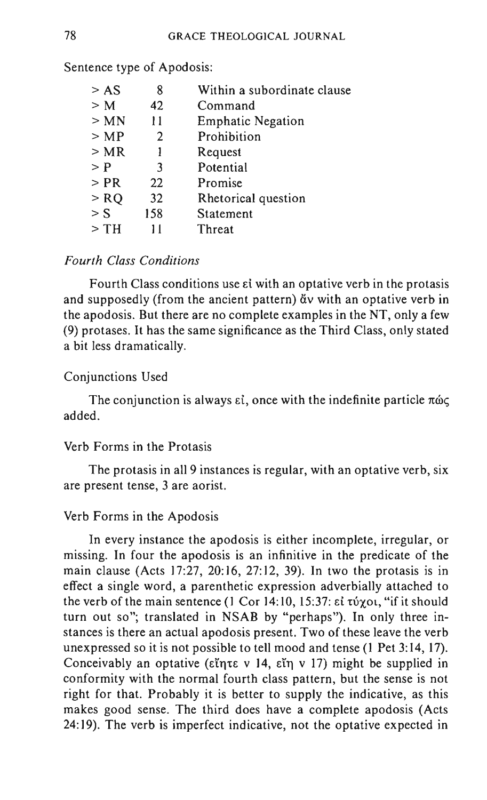| > AS   | 8              | Within a subordinate clause |
|--------|----------------|-----------------------------|
| > M    | 42             | Command                     |
| > MN   | 11             | <b>Emphatic Negation</b>    |
| >MP    | $\overline{2}$ | Prohibition                 |
| > MR   |                | Request                     |
| > P    | 3              | Potential                   |
| $>$ PR | 22             | Promise                     |
| $>$ RQ | 32             | Rhetorical question         |
| $>$ S  | 158            | Statement                   |
| > TH   | 11             | Threat                      |
|        |                |                             |

Sentence type of Apodosis:

#### *Fourth Class Conditions*

Fourth Class conditions use Ei with an optative verb in the protasis and supposedly (from the ancient pattern)  $\ddot{\alpha}$  with an optative verb in the apodosis. But there are no complete examples in the NT, only a few (9) protases. It has the same significance as the Third Class, only stated a bit less dramatically.

#### Conjunctions Used

The conjunction is always  $\epsilon i$ , once with the indefinite particle  $\pi\omega\zeta$ added.

#### Verb Forms in the Protasis

The protasis in all 9 instances is regular, with an optative verb, six are present tense, 3 are aorist.

#### Verb Forms in the Apodosis

In every instance the apodosis is either incomplete, irregular, or missing. In four the apodosis is an infinitive in the predicate of the main clause (Acts 17:27, 20:16, 27:12, 39). In two the protasis is in effect a single word, a parenthetic expression adverbially attached to the verb of the main sentence (1 Cor 14:10, 15:37:  $\epsilon i$  τύχοι, "if it should turn out so"; translated in NSAB by "perhaps"). In only three instances is there an actual apodosis present. Two of these leave the verb unexpressed so it is not possible to tell mood and tense (1 Pet 3: 14, 17). Conceivably an optative ( $\varepsilon\tilde{\eta}$ τε v 14,  $\varepsilon\tilde{\eta}$  v 17) might be supplied in conformity with the normal fourth class pattern, but the sense is not right for that. Probably it is better to supply the indicative, as this makes good sense. The third does have a complete apodosis (Acts 24: 19). The verb is imperfect indicative, not the optative expected in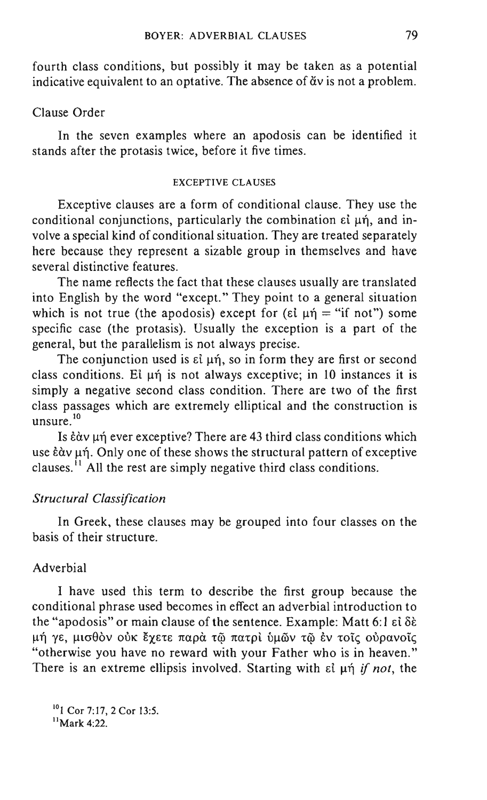fourth class conditions, but possibly it may be taken as a potential indicative equivalent to an optative. The absence of  $\check{a}v$  is not a problem.

### Clause Order

In the seven examples where an apodosis can be identified it stands after the protasis twice, before it five times.

#### EXCEPTIVE CLAUSES

Exceptive clauses are a form of conditional clause. They use the conditional conjunctions, particularly the combination  $\epsilon\tilde{\iota}$  un, and involve a special kind of conditional situation. They are treated separately here because they represent a sizable group in themselves and have several distinctive features.

The name reflects the fact that these clauses usually are translated into English by the word "except." They point to a general situation which is not true (the apodosis) except for ( $\varepsilon \in \mu \eta = \pi$  if not") some specific case (the protasis). Usually the exception is a part of the general, but the parallelism is not always precise.

The conjunction used is  $\varepsilon\hat{i}$   $\mu\hat{n}$ , so in form they are first or second class conditions. Et  $\mu$ n is not always exceptive; in 10 instances it is simply a negative second class condition. There are two of the first class passages which are extremely elliptical and the construction is unsure.<sup>10</sup>

Is  $\frac{\partial u}{\partial x}$  are exceptive? There are 43 third class conditions which use  $\frac{\partial u}{\partial x}$  und  $\frac{\partial u}{\partial y}$  one of these shows the structural pattern of exceptive clauses.  $\frac{1}{1}$  All the rest are simply negative third class conditions.

### *Structural Classification*

In Greek, these clauses may be grouped into four classes on the basis of their structure.

# Adverbial

I have used this term to describe the first group because the conditional phrase used becomes in effect an adverbial introduction to the "apodosis" or main clause of the sentence. Example: Matt 6:1  $\epsilon$ i  $\delta\epsilon$  $\mu$ ή γε, μισθὸν οὐκ ἔχετε παρὰ τῷ πατρὶ ὑμῶν τῷ ἐν τοῖς οὐρανοῖς "otherwise you have no reward with your Father who is in heaven." There is an extreme ellipsis involved. Starting with  $\epsilon \tilde{l}$  µ $\eta$  *if not*, the

<sup>10</sup> 1 Cor 7:17, 2 Cor 13:5.  $<sup>11</sup>$ Mark 4:22.</sup>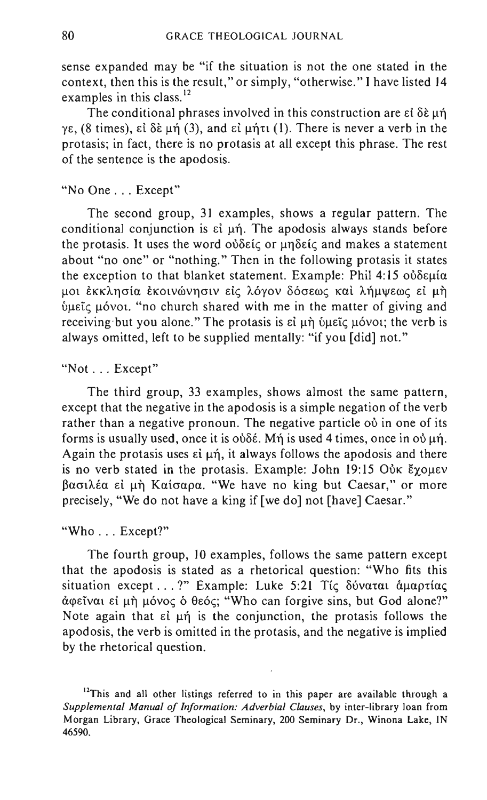sense expanded may be "if the situation is not the one stated in the context, then this is the result," or simply, "otherwise." I have listed 14 examples in this class.<sup>12</sup>

The conditional phrases involved in this construction are  $\epsilon$   $\delta \epsilon$  und γε, (8 times), εί δέμή (3), and είμήτι (1). There is never a verb in the protasis; in fact, there is no protasis at all except this phrase. The rest of the sentence is the apodosis.

# "No One ... Except"

The second group, 31 examples, shows a regular pattern. The conditional conjunction is  $\varepsilon\hat{i}$   $\mu\hat{n}$ . The apodosis always stands before the protasis. It uses the word  $\omega\delta\varepsilon\zeta$  or  $\mu\eta\delta\varepsilon\zeta$  and makes a statement about "no one" or "nothing." Then in the following protasis it states the exception to that blanket statement. Example: Phil  $4:15$   $o\delta\delta\epsilon\mu\alpha$ μοι έκκλησία έκοινώνησιν είς λόγον δόσεως και λήμψεως εί μη  $\psi$ μεῖς μόνοι. "no church shared with me in the matter of giving and receiving but you alone." The protasis is  $\epsilon i$   $\mu \dot{\eta}$   $\dot{\nu}$  let  $\dot{\epsilon}$  let  $\dot{\theta}$  let  $\dot{\theta}$  is always omitted, left to be supplied mentally: "if you [did] not."

### "Not ... Except"

The third group, 33 examples, shows almost the same pattern, except that the negative in the apodosis is a simple negation of the verb rather than a negative pronoun. The negative particle od in one of its forms is usually used, once it is  $\partial \delta \xi$ . Mn is used 4 times, once in  $\partial \psi$  un. Again the protasis uses  $\varepsilon i \mu \eta$ , it always follows the apodosis and there is no verb stated in the protasis. Example: John 19:15 Ouk  $\zeta$  ouev βασιλέα εί μή Καίσαρα. "We have no king but Caesar," or more precisely, "We do not have a king if [we do] not [have] Caesar."

### "Who ... Except?"

The fourth group, 10 examples, follows the same pattern except that the apodosis is stated as a rhetorical question: "Who fits this situation except ...?" Example: Luke 5:21 Tic δύναται άμαρτίας άφεΐναι εί μή μόνος ό θεός; "Who can forgive sins, but God alone?" Note again that  $\varepsilon \tilde{\iota}$  un is the conjunction, the protasis follows the apodosis, the verb is omitted in the protasis, and the negative is implied by the rhetorical question.

<sup>&</sup>lt;sup>12</sup>This and all other listings referred to in this paper are available through a *Supplemental Manual of Information: Adverbial Clauses,* by inter-library loan from Morgan Library, Grace Theological Seminary, 200 Seminary Dr., Winona Lake, IN 46590.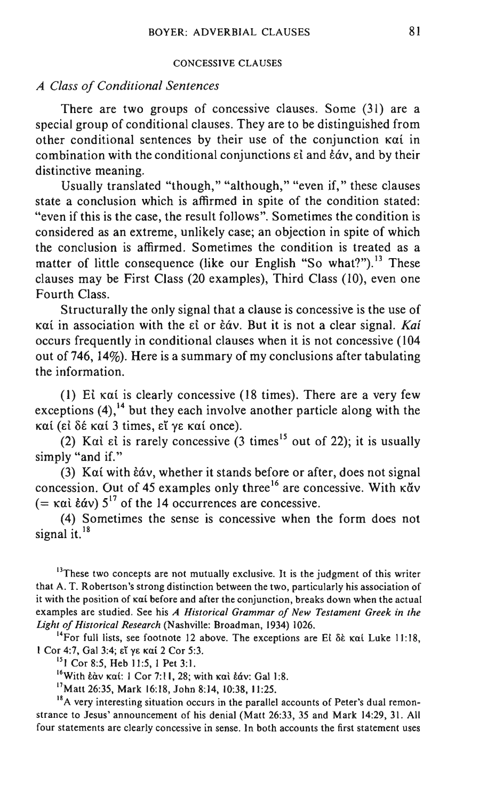#### CONCESSIVE CLAUSES

### *A Class of Conditional Sentences*

There are two groups of concessive clauses. Some (31) are a special group of conditional clauses. They are to be distinguished from other conditional sentences by their use of the conjunction Kai in combination with the conditional conjunctions  $\epsilon i$  and  $\dot{\epsilon}\dot{\alpha}v$ , and by their distinctive meaning.

Usually translated "though," "although," "even if," these clauses state a conclusion which is affirmed in spite of the condition stated: "even if this is the case, the result follows". Sometimes the condition is considered as an extreme, unlikely case; an objection in spite of which the conclusion is affirmed. Sometimes the condition is treated as a matter of little consequence (like our English "So what?").<sup>13</sup> These clauses may be First Class (20 examples), Third Class (10), even one Fourth Class.

Structurally the only signal that a clause is concessive is the use of καί in association with the εί or έάν. But it is not a clear signal. *Kai* occurs frequently in conditional clauses when it is not concessive (104 out of 746, 14%). Here is a summary of my conclusions after tabulating the information.

(1) Ei Kai is clearly concessive (18 times). There are a very few exceptions  $(4)$ ,<sup>14</sup> but they each involve another particle along with the καί (εί δέ καί 3 times, εί γε καί once).

(2) Kai ei is rarely concessive  $(3 \text{ times}^{15} \text{ out of } 22)$ ; it is usually simply "and if."

(3) Kai with  $\frac{2}{3}$  whether it stands before or after, does not signal concession. Out of 45 examples only three<sup>16</sup> are concessive. With  $\kappa \check{a}v$ (=  $\kappa \alpha i \, \dot{\epsilon} \dot{\alpha} v$ ) 5<sup>17</sup> of the 14 occurrences are concessive.

(4) Sometimes the sense is concessive when the form does not signal it. $18$ 

 $13$ These two concepts are not mutually exclusive. It is the judgment of this writer that A. T. Robertson's strong distinction between the two, particularly his association of it with the position of Kat before and after the conjunction, breaks down when the actual examples are studied. See his *A Historical Grammar of New Testament Greek in the Light of Historical Research* (Nashville: Broadman, 1934) 1026.

<sup>14</sup>For full lists, see footnote 12 above. The exceptions are Ei  $\delta \hat{\epsilon}$  kat Luke 11:18, 1 Cor 4:7, Gal 3:4; εί γε καί 2 Cor 5:3.

<sup>15</sup> 1 Cor 8:5, Heb 11:5, 1 Pet 3:1.

<sup>16</sup>With  $\frac{2}{3}$  kat: 1 Cor 7:11, 28; with kal  $\frac{2}{3}$  (Gal 1:8.

17Matt 26:35, Mark 16:18, John 8:14, 10:38, 11:25.

<sup>18</sup>A very interesting situation occurs in the parallel accounts of Peter's dual remonstrance to Jesus' announcement of his denial (Matt 26:33, 35 and Mark 14:29, 31. All four statements are clearly concessive in sense. In both accounts the first statement uses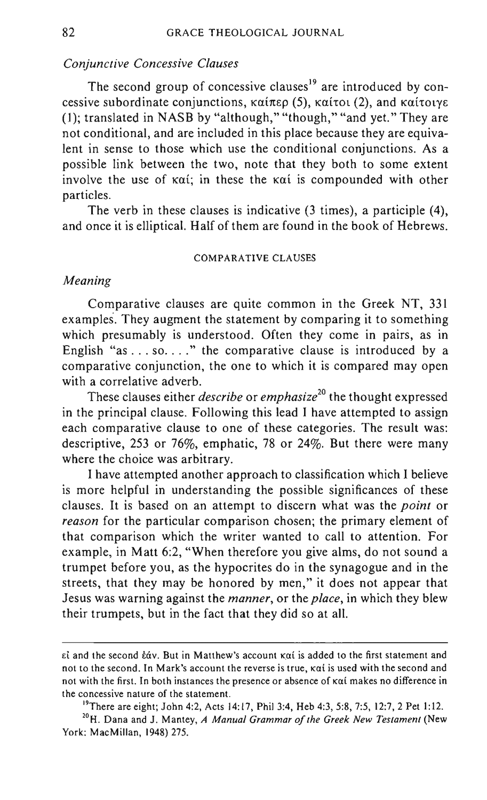### *Conjunctive Concessive Clauses*

The second group of concessive clauses<sup>19</sup> are introduced by concessive subordinate conjunctions,  $\kappa \alpha \text{if} \kappa \rho$  (5),  $\kappa \alpha \text{if} \text{or}$  (2), and  $\kappa \alpha \text{if} \text{or} \gamma \varepsilon$ (1); translated in NASB by "although," "though," "and yet." They are not conditional, and are included in this place because they are equivalent in sense to those which use the conditional conjunctions. As a possible link between the two, note that they both to some extent involve the use of  $k\alpha i$ ; in these the kai is compounded with other particles.

The verb in these clauses is indicative (3 times), a participle (4), and once it is elliptical. Half of them are found in the book of Hebrews.

#### COMPARATIVE CLAUSES

#### *Meaning*

Comparative clauses are quite common in the Greek NT, 331 examples. They augment the statement by comparing it to something which presumably is understood. Often they come in pairs, as in English "as ... so...." the comparative clause is introduced by a comparative conjunction, the one to which it is compared may open with a correlative adverb.

These clauses either *describe* or *emphasize*<sup>20</sup> the thought expressed in the principal clause. Following this lead I have attempted to assign each comparative clause to one of these categories. The result was: descriptive, 253 or 76%, emphatic, 78 or 24%. But there were many where the choice was arbitrary.

I have attempted another approach to classification which I believe is more helpful in understanding the possible significances of these clauses. It is based on an attempt to discern what was the *point* or *reason* for the particular comparison chosen; the primary element of that comparison which the writer wanted to call to attention. For example, in Matt 6:2, "When therefore you give alms, do not sound a trumpet before you, as the hypocrites do in the synagogue and in the streets, that they may be honored by men," it does not appear that Jesus was warning against the *manner,* or the *place,* in which they blew their trumpets, but in the fact that they did so at all.

 $\epsilon$ i and the second  $\dot{\epsilon}$ av. But in Matthew's account  $\kappa \alpha$ i is added to the first statement and not to the second. In Mark's account the reverse is true, Kat is used with the second and not with the first. In both instances the presence or absence of  $\kappa \alpha i$  makes no difference in the concessive nature of the statement.

<sup>&</sup>lt;sup>19</sup>There are eight; John 4:2, Acts 14:17, Phil 3:4, Heb 4:3, 5:8, 7:5, 12:7, 2 Pet 1:12.

<sup>&</sup>lt;sup>20</sup>H. Dana and J. Mantey, *A Manual Grammar of the Greek New Testament* (New York: MacMillan, 1948) 275.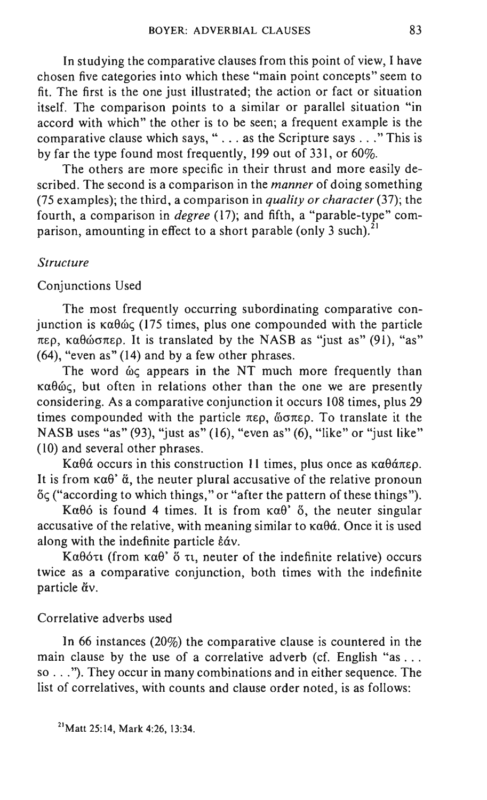In studying the comparative clauses from this point of view, I have chosen five categories into which these "main point concepts" seem to fit. The first is the one just illustrated; the action or fact or situation itself. The comparison points to a similar or parallel situation "in accord with which" the other is to be seen; a frequent example is the comparative clause which says, " ... as the Scripture says ... " This is by far the type found most frequently, 199 out of 331, or 60%.

The others are more specific in their thrust and more easily described. The second is a comparison in the *manner* of doing something (75 examples); the third, a comparison in *quality or character* (37); the fourth, a comparison in *degree* (17); and fifth, a "parable-type" comparison, amounting in effect to a short parable (only 3 such).<sup>2</sup>

#### *Structure*

### Conjunctions Used

The most frequently occurring subordinating comparative conjunction is  $\kappa \alpha \theta \omega \zeta$  (175 times, plus one compounded with the particle  $\pi$ ερ, καθώσπερ. It is translated by the NASB as "just as" (91), "as" (64), "even as" (14) and by a few other phrases.

The word  $\omega$  appears in the NT much more frequently than  $\kappa\alpha\theta\omega\zeta$ , but often in relations other than the one we are presently considering. As a comparative conjunction it occurs 108 times, plus 29 times compounded with the particle  $\pi \epsilon \rho$ ,  $\omega \pi \epsilon \rho$ . To translate it the NASB uses "as" (93), "just as" (16), "even as" (6), "like" or "just like" (10) and several other phrases.

Ka $\theta$ á occurs in this construction 11 times, plus once as  $\kappa \alpha \theta$ á $\pi \epsilon \rho$ . It is from  $\kappa \alpha \theta$ '  $\alpha$ , the neuter plural accusative of the relative pronoun öς ("according to which things," or "after the pattern of these things").

Ka $\theta$ 6 is found 4 times. It is from  $\kappa \alpha \theta$ <sup>2</sup>  $\delta$ , the neuter singular accusative of the relative, with meaning similar to  $\kappa \alpha \theta \dot{\alpha}$ . Once it is used along with the indefinite particle  $\dot{\epsilon}\dot{\alpha}v$ .

Kαθότι (from καθ' ὅ τι, neuter of the indefinite relative) occurs twice as a comparative conjunction, both times with the indefinite particle  $\ddot{\alpha}v$ .

#### Correlative adverbs used

In 66 instances (20%) the comparative clause is countered in the main clause by the use of a correlative adverb (cf. English "as ... so ... "). They occur in many combinations and in either sequence. The list of correlatives, with counts and clause order noted, is as follows: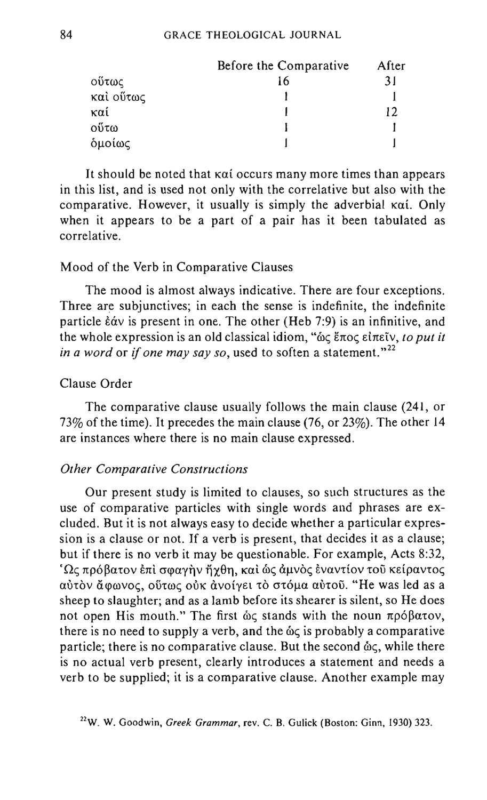|           | Before the Comparative | After |
|-----------|------------------------|-------|
| ούτως     |                        | 31    |
| καὶ οὕτως |                        |       |
| καί       |                        | 12    |
| οΰτω      |                        |       |
| δμοίως    |                        |       |

It should be noted that  $k\alpha i$  occurs many more times than appears in this list, and is used not only with the correlative but also with the comparative. However, it usually is simply the adverbial  $\kappa \alpha i$ . Only when it appears to be a part of a pair has it been tabulated as correlative.

#### Mood of the Verb in Comparative Clauses

The mood is almost always indicative. There are four exceptions. Three are subjunctives; in each the sense is indefinite, the indefinite particle  $\dot{\epsilon}\dot{\alpha}v$  is present in one. The other (Heb 7:9) is an infinitive, and the whole expression is an old classical idiom, "ως έπος είπεῖν, *to put it in a word or if one may say so, used to soften a statement.*"<sup>22</sup>

### Clause Order

The comparative clause usually follows the main clause (241, or 73% of the time). It precedes the main clause (76, or 23%). The other 14 are instances where there is no main clause expressed.

### *Other Comparative Constructions*

Our present study is limited to clauses, so such structures as the use of comparative particles with single words and phrases are excluded. But it is not always easy to decide whether a particular expression is a clause or not. If a verb is present, that decides it as a clause; but if there is no verb it may be questionable. For example, Acts 8:32,  $\Omega$ ς πρόβατον έπὶ σφαγὴν ἤχθη, καὶ ὡς ἀμνὸς ἐναντίον τοῦ κείραντος aύτον άφωνος, ούτως ούκ άνοίγει το στόμα αύτου. "He was led as a sheep to slaughter; and as a lamb before its shearer is silent, so He does not open His mouth." The first  $\dot{\omega}$  stands with the noun  $\pi \rho \dot{\omega} \beta \alpha \tau \dot{\omega}$ , there is no need to supply a verb, and the  $\omega<sub>c</sub>$  is probably a comparative particle; there is no comparative clause. But the second  $\omega_{\zeta}$ , while there is no actual verb present, clearly introduces a statement and needs a verb to be supplied; it is a comparative clause. Another example may

<sup>22</sup>W. W. Goodwin, *Greek Grammar,* rev. C. B. Gulick (Boston: Ginn, 1930) 323.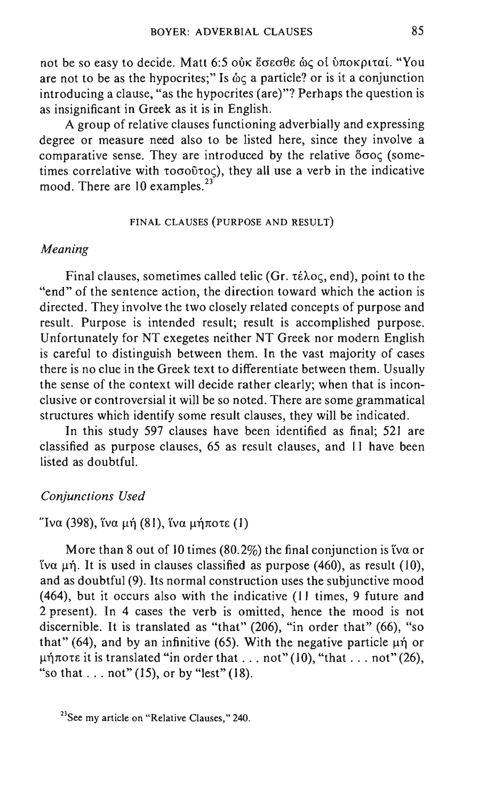not be so easy to decide. Matt 6:5 ούκ έσεσθε ως οι υποκριταί. "You are not to be as the hypocrites;" Is  $\&\text{o}$  a particle? or is it a conjunction introducing a clause, "as the hypocrites (are)"? Perhaps the question is as insignificant in Greek as it is in English.

A group of relative clauses functioning adverbially and expressing degree or measure need also to be listed here, since they involve a comparative sense. They are introduced by the relative oooc (sometimes correlative with  $\tau$ o $\sigma$ <sup>0 $\tau$ </sup>oc), they all use a verb in the indicative mood. There are  $10$  examples.<sup>23</sup>

#### FINAL CLAUSES (PURPOSE AND RESULT)

#### *Meaning*

Final clauses, sometimes called telic (Gr.  $\tau \in \lambda$ oc, end), point to the "end" of the sentence action, the direction toward which the action is directed. They involve the two closely related concepts of purpose and result. Purpose is intended result; result is accomplished purpose. Unfortunately for NT exegetes neither NT Greek nor modern English is careful to distinguish between them. In the vast majority of cases there is no clue in the Greek text to differentiate between them. Usually the sense of the context will decide rather clearly; when that is inconclusive or controversial it will be so noted. There are some grammatical structures which identify some result clauses, they will be indicated.

In this study 597 clauses have been identified as final; 521 are classified as purpose clauses, 65 as result clauses, and 11 have been listed as doubtful.

#### *Conjunctions Used*

### "Iνα (398), ΐνα μή (81), ΐνα μήποτε (1)

More than 8 out of 10 times (80.2%) the final conjunction is tva or  $να μη$ . It is used in clauses classified as purpose (460), as result (10), and as doubtful (9). Its normal construction uses the subjunctive mood (464), but it occurs also with the indicative (II times, 9 future and 2 present). In 4 cases the verb is omitted, hence the mood is not discernible. It is translated as "that" (206), "in order that" (66), "so that" (64), and by an infinitive (65). With the negative particle  $\mu \eta$  or  $\mu\eta\pi$ ote it is translated "in order that ... not" (10), "that ... not" (26), "so that  $\dots$  not" (15), or by "lest" (18).

<sup>&</sup>lt;sup>23</sup>See my article on "Relative Clauses," 240.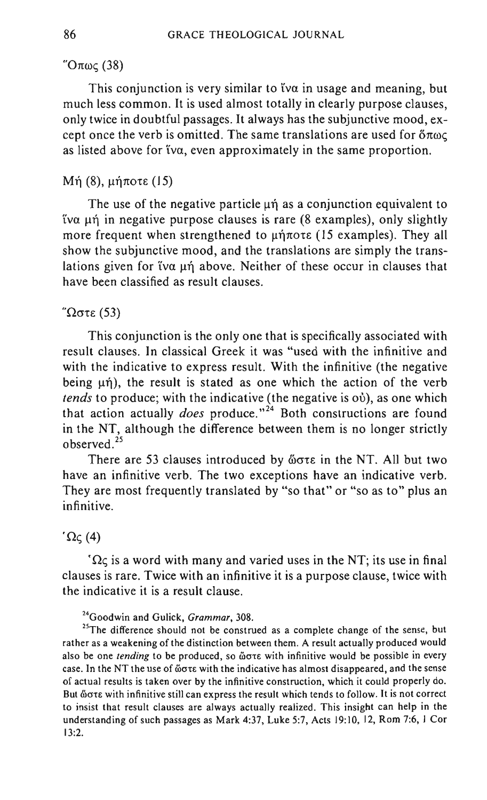# $"Oπως (38)$

This conjunction is very similar to tva in usage and meaning, but much less common. It is used almost totally in clearly purpose clauses, only twice in doubtful passages. It always has the subjunctive mood,  $ex$ cept once the verb is omitted. The same translations are used for  $\delta \pi \omega \zeta$ as listed above for tva, even approximately in the same proportion.

### Mή (8), μήποτε (15)

The use of the negative particle  $\mu\eta$  as a conjunction equivalent to  $\alpha$   $\mu$ n in negative purpose clauses is rare (8 examples), only slightly more frequent when strengthened to  $\mu\eta\pi$ ore (15 examples). They all show the subjunctive mood, and the translations are simply the translations given for tva  $\mu$ n above. Neither of these occur in clauses that have been classified as result clauses.

#### $\sigma$ τε (53)

This conjunction is the only one that is specifically associated with result clauses. In classical Greek it was "used with the infinitive and with the indicative to express result. With the infinitive (the negative being  $\mu$ n), the result is stated as one which the action of the verb *tends* to produce; with the indicative (the negative is où), as one which that action actually *does* produce."<sup>24</sup> Both constructions are found in the NT, although the difference between them is no longer strictly observed. <sup>25</sup>

There are 53 clauses introduced by ὥστε in the NT. All but two have an infinitive verb. The two exceptions have an indicative verb. They are most frequently translated by "so that" or "so as to" plus an infinitive.

#### $^{\prime}$   $\Omega$ <sub>C</sub> $(4)$

 $\Omega \zeta$  is a word with many and varied uses in the NT; its use in final clauses is rare. Twice with an infinitive it is a purpose clause, twice with the indicative it is a result clause.

24Goodwin and Gulick, *Grammar, 308.* 

<sup>25</sup>The difference should not be construed as a complete change of the sense, but rather as a weakening of the distinction between them. A result actually produced would also be one *tending* to be produced, so **"ore with infinitive would be possible in every** case. In the NT the use of  $\delta \sigma \tau \epsilon$  with the indicative has almost disappeared, and the sense of actual results is taken over by the infinitive construction, which it could properly do. But ώστε with infinitive still can express the result which tends to follow. It is not correct to insist that result clauses are always actually realized. This insight can help in the understanding of such passages as Mark 4:37, Luke 5:7, Acts 19:10, 12, Rom 7:6, 1 Cor 13:2.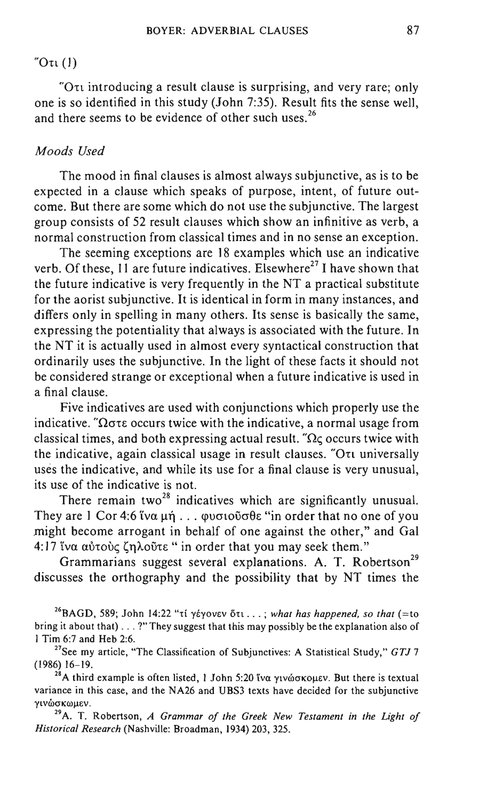#### $\sigma$ (1)

 $\degree$ O $\tau$  introducing a result clause is surprising, and very rare; only one is so identified in this study (John 7:35). Result fits the sense well, and there seems to be evidence of other such uses.  $26$ 

#### *Moods Used*

The mood in final clauses is almost always subjunctive, as is to be expected in a clause which speaks of purpose, intent, of future outcome. But there are some which do not use the subjunctive. The largest group consists of 52 result clauses which show an infinitive as verb, a normal construction from classical times and in no sense an exception.

The seeming exceptions are 18 examples which use an indicative verb. Of these,  $11$  are future indicatives. Elsewhere<sup>27</sup> I have shown that the future indicative is very frequently in the NT a practical substitute for the aorist subjunctive. It is identical in form in many instances, and differs only in spelling in many others. Its sense is basically the same, expressing the potentiality that always is associated with the future. In the NT it is actually used in almost every syntactical construction that ordinarily uses the subjunctive. In the light of these facts it should not be considered strange or exceptional when a future indicative is used in a final clause.

Five indicatives are used with conjunctions which properly use the indicative. " $\Omega$  $\sigma$ te occurs twice with the indicative, a normal usage from classical times, and both expressing actual result. " $\Omega$ <sub> $\zeta$ </sub> occurs twice with the indicative, again classical usage in result clauses. "On universally uses the indicative, and while its use for a final clause is very unusual, its use of the indicative is not.

There remain two<sup>28</sup> indicatives which are significantly unusual. They are 1 Cor 4:6 iva  $\mu$ n ...  $\varphi$  volo  $\varphi$  of  $\varphi$  in order that no one of you .might become arrogant in behalf of one against the other," and Gal 4:17 ἵνα αὐτοὺς ζηλοῦτε "in order that you may seek them."

Grammarians suggest several explanations. A. T. Robertson<sup>29</sup> discusses the orthography and the possibility that by NT times the

<sup>26</sup>BAGD, 589; John 14:22 "τί γέγονεν δτι...; what has happened, so that (=to bring it about that) ... ?" They suggest that this may possibly be the explanation also of I Tim 6:7 and Heb 2:6.

27See my article, "The Classification of Subjunctives: A Statistical Study," *GTJ* 7 (1986) 16-19.

<sup>28</sup>A third example is often listed, 1 John 5:20 tva  $\gamma$ tv $\omega$ okollev. But there is textual variance in this case, and the NA26 and UBS3 texts have decided for the subjunctive γινώσκωμεν.

<sup>29</sup>A. T. Robertson, *A Grammar of the Greek New Testament in the Light of Historical Research* (Nashville: Broadman, 1934) 203, 325.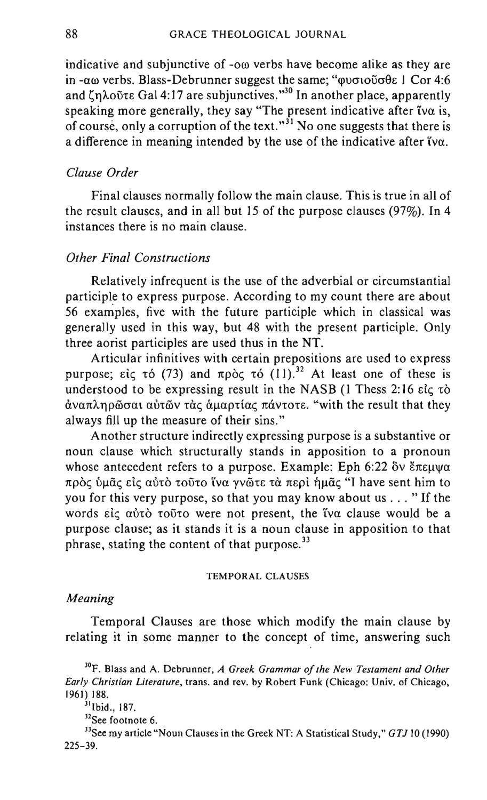indicative and subjunctive of  $-\infty$  verbs have become alike as they are in - $\alpha\omega$  verbs. Blass-Debrunner suggest the same; " $\omega\sigma\omega\sigma\theta\epsilon$  1 Cor 4:6 and  $\zeta$  $\eta$ λοῦτε Gal 4:17 are subjunctives."<sup>30</sup> In another place, apparently speaking more generally, they say "The present indicative after tva is, of course, only a corruption of the text."<sup>31</sup> No one suggests that there is a difference in meaning intended by the use of the indicative after iva.

### *Clause Order*

Final clauses normally follow the main clause. This is true in all of the result clauses, and in all but 15 of the purpose clauses (97%). In 4 instances there is no main clause.

### *Other Final Constructions*

Relatively infrequent is the use of the adverbial or circumstantial participle to express purpose. According to my count there are about 56 examples, five with the future participle which in classical was generally used in this way, but 48 with the present participle. Only three aorist participles are used thus in the NT.

Articular infinitives with certain prepositions are used to express purpose; είς τό (73) and πρòς τό  $(11)^{32}$ . At least one of these is understood to be expressing result in the NASB  $(1)$  Thess 2:16  $\epsilon i \epsilon \tau \delta$ άναπληρώσαι αύτών τὰς ἁμαρτίας πάντοτε. "with the result that they always fill up the measure of their sins."

Another structure indirectly expressing purpose is a substantive or noun clause which structurally stands in apposition to a pronoun whose antecedent refers to a purpose. Example: Eph 6:22  $\delta v \xi \pi \epsilon \mu \psi \alpha$ πρός ύμᾶς είς αύτό τοῦτο ἵνα γνῶτε τὰ περί ήμᾶς "I have sent him to you for this very purpose, so that you may know about us ... " If the words  $\epsilon i \zeta$   $\alpha \dot{\nu} \tau$  to  $\ddot{\nu} \tau$  were not present, the tva clause would be a purpose clause; as it stands it is a noun clause in apposition to that phrase, stating the content of that purpose. $33$ 

#### TEMPORAL CLAUSES

#### *Meaning*

Temporal Clauses are those which modify the main clause by relating it in some manner to the concept of time, answering such

<sup>3°</sup>F. Blass and A. Debrunner, *A Greek Grammar of the New Testament and Other Early Christian Literature,* trans. and rev. by Robert Funk (Chicago: Univ. of Chicago, 1961) 188.

<sup>&</sup>lt;sup>31</sup>Ibid., 187.

<sup>&</sup>lt;sup>32</sup>See footnote 6.

<sup>&</sup>lt;sup>33</sup>See my article "Noun Clauses in the Greek NT: A Statistical Study," *GTJ* 10 (1990) 225-39.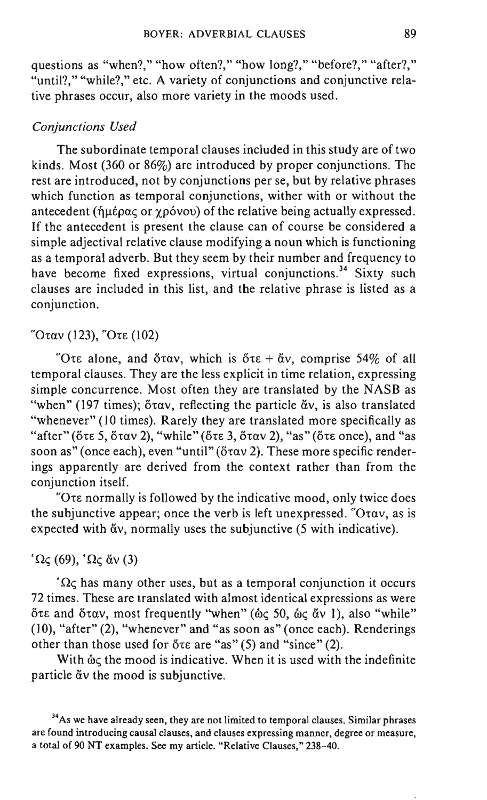questions as "when?," "how often?," "how long?," "before?," "after?," "until?," "while?," etc. A variety of conjunctions and conjunctive relative phrases occur, also more variety in the moods used.

#### *Conjunctions Used*

The subordinate temporal clauses included in this study are of two kinds. Most (360 or 86%) are introduced by proper conjunctions. The rest are introduced, not by conjunctions per se, but by relative phrases which function as temporal conjunctions, wither with or without the antecedent ( $\hat{\eta}$ μέρας or  $\gamma$ ρόνου) of the relative being actually expressed. If the antecedent is present the clause can of course be considered a simple adjectival relative clause modifying a noun which is functioning as a temporal adverb. But they seem by their number and frequency to have become fixed expressions, virtual conjunctions.<sup>34</sup> Sixty such clauses are included in this list, and the relative phrase is listed as a conjunction.

### "Όταν (123), "Ότε (102)

"Ote alone, and  $\delta \tau \alpha v$ , which is  $\delta \tau \epsilon + \alpha v$ , comprise 54% of all temporal clauses. They are the less explicit in time relation, expressing simple concurrence. Most often they are translated by the NASB as "when" (197 times);  $\delta \tau \alpha v$ , reflecting the particle  $\alpha v$ , is also translated "whenever" (10 times). Rarely they are translated more specifically as "after" ( $\delta \tau \in 5$ ,  $\delta \tau \alpha v$  2), "while" ( $\delta \tau \in 3$ ,  $\delta \tau \alpha v$  2), "as" ( $\delta \tau \in 5$ , and "as soon as" (once each), even "until" ( $\ddot{\sigma}$ tav 2). These more specific renderings apparently are derived from the context rather than from the conjunction itself.

"Ore normally is followed by the indicative mood, only twice does the subjunctive appear; once the verb is left unexpressed. " $O\tau \alpha v$ , as is expected with  $\alpha v$ , normally uses the subjunctive (5 with indicative).

 $^{\circ}$ Ως (69),  $^{\circ}$ Ως ἄν (3)

 $\Omega$ <sub>C</sub> has many other uses, but as a temporal conjunction it occurs 72 times. These are translated with almost identical expressions as were ότε and όταν, most frequently "when" (ως 50, ως άν Ι), also "while" (10), "after" (2), "whenever" and "as soon as" (once each). Renderings other than those used for  $\delta \tau \varepsilon$  are "as" (5) and "since" (2).

With  $\&\acute{\alpha}$  the mood is indicative. When it is used with the indefinite particle  $\check{a}v$  the mood is subjunctive.

<sup>34</sup>As we have already seen, they are not limited to temporal clauses. Similar phrases are found introducing causal clauses, and clauses expressing manner, degree or measure, a total of 90 NT examples. See my article. "Relative Clauses," 238-40.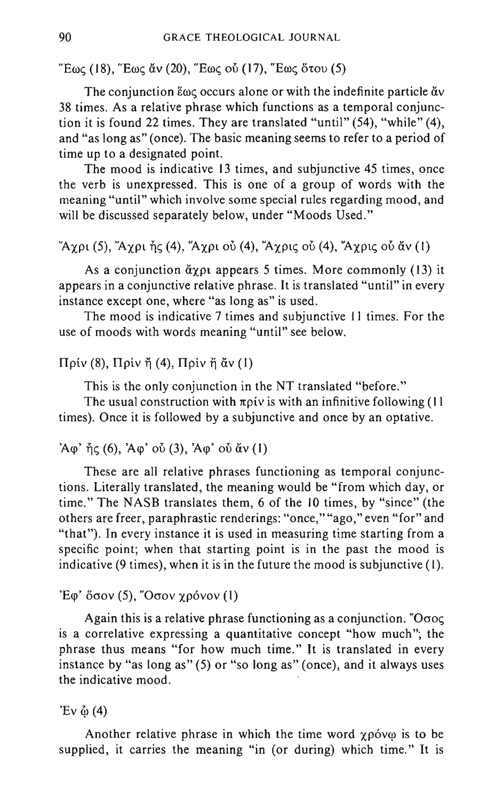"Eως (18), "Eως ἄν (20), "Eως οὖ (17), "Eως ὅτου (5)

The conjunction  $\epsilon_{\omega\zeta}$  occurs alone or with the indefinite particle  $\alpha v$ 38 times. As a relative phrase which functions as a temporal conjunction it is found 22 times. They are translated "until" (54), "while" (4), and "as long as" (once). The basic meaning seems to refer to a period of time up to a designated point.

The mood is indicative 13 times, and subjunctive 45 times, once the verb is unexpressed. This is one of a group of words with the meaning "until" which involve some special rules regarding mood, and will be discussed separately below, under "Moods Used."

"Aypi (5), "Aypi  $\tilde{\eta}$ ς (4), "Aypi où (4), "Aypiς où (4), "Aypiς où  $\tilde{\alpha}$  v (1)

As a conjunction  $\ddot{\alpha}$  appears 5 times. More commonly (13) it appears in a conjunctive relative phrase. It is translated "until" in every instance except one, where "as long as" is used.

The mood is indicative 7 times and subjunctive 11 times. For the use of moods with words meaning "until" see below.

 $\Pi$ ρίν (8),  $\Pi$ ρίν ἤ (4),  $\Pi$ ρίν ἤ ἄν (1)

This is the only conjunction in the NT translated "before."

The usual construction with  $\pi \rho$ iv is with an infinitive following (11) times). Once it is followed by a SUbjunctive and once by an optative.

#### $'A\varphi'$   $\eta\zeta$  (6),  $'A\varphi'$  ov  $(3)$ ,  $'A\varphi'$  ov  $\check{\alpha}v$  (1)

These are all relative phrases functioning as temporal conjunctions. Literally translated, the meaning would be "from which day, or time." The NASB translates them, 6 of the 10 times, by "since" (the others are freer, paraphrastic renderings: "once," "ago," even "for" and "that"). In every instance it is used in measuring time starting from a specific point; when that starting point is in the past the mood is indicative (9 times), when it is in the future the mood is subjunctive (I).

### 'Eφ'  $\delta$ σον (5), "Οσον χρόνον (1)

Again this is a relative phrase functioning as a conjunction. "O $\sigma$ o $\varsigma$ is a correlative expressing a quantitative concept "how much"; the phrase thus means "for how much time." It is translated in every instance by "as long as" (5) or "so long as" (once), and it always uses the indicative mood.

'Ev  $\ddot{\omega}$  (4)

Another relative phrase in which the time word  $\gamma \rho \acute{o}v\omega$  is to be supplied, it carries the meaning "in (or during) which time." It is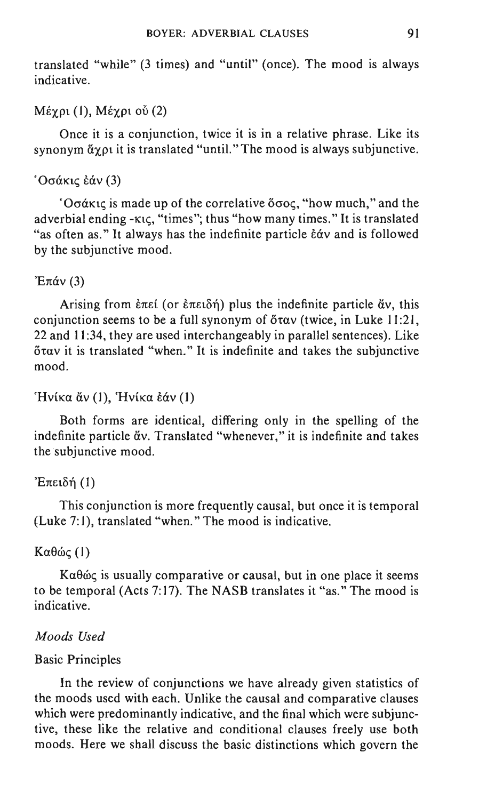translated "while" (3 times) and "until" (once). The mood is always indicative.

### $M$ έγρι (1), Μέγρι ού (2)

Once it is a conjunction, twice it is in a relative phrase. Like its synonym  $\tilde{\alpha}$  you it is translated "until." The mood is always subjunctive.

### $'$ Οσάκις εάν (3)

 $O\sigma\alpha$  is made up of the correlative  $\delta\sigma$  oc, "how much," and the adverbial ending - $\kappa$ tc, "times"; thus "how many times." It is translated "as often as." It always has the indefinite particle  $\epsilon \dot{\alpha} v$  and is followed by the subjunctive mood.

### ' $E\pi\alpha v(3)$

Arising from  $\epsilon \pi \epsilon i$  (or  $\epsilon \pi \epsilon i \delta \eta$ ) plus the indefinite particle  $\alpha v$ , this conjunction seems to be a full synonym of  $\delta \tau \alpha v$  (twice, in Luke 11:21, 22 and II :34, they are used interchangeably in parallel sentences). Like  $\delta \tau \alpha v$  it is translated "when." It is indefinite and takes the subjunctive mood.

### 'Ηνίκα ἄν (1), 'Ηνίκα έάν (1)

Both forms are identical, differing only in the spelling of the indefinite particle  $\check{a}v$ . Translated "whenever," it is indefinite and takes the subjunctive mood.

### 'Eπειδή  $(1)$

This conjunction is more frequently causal, but once it is temporal (Luke 7:1), translated "when." The mood is indicative.

### $K\alpha\theta$ ώς (1)

 $K\alpha\theta\omega\varsigma$  is usually comparative or causal, but in one place it seems to be temporal (Acts 7:17). The NASB translates it "as." The mood is indicative.

### *Moods Used*

### Basic Principles

In the review of conjunctions we have already given statistics of the moods used with each. Unlike the causal and comparative clauses which were predominantly indicative, and the final which were subjunctive, these like the relative and conditional clauses freely use both moods. Here we shall discuss the basic distinctions which govern the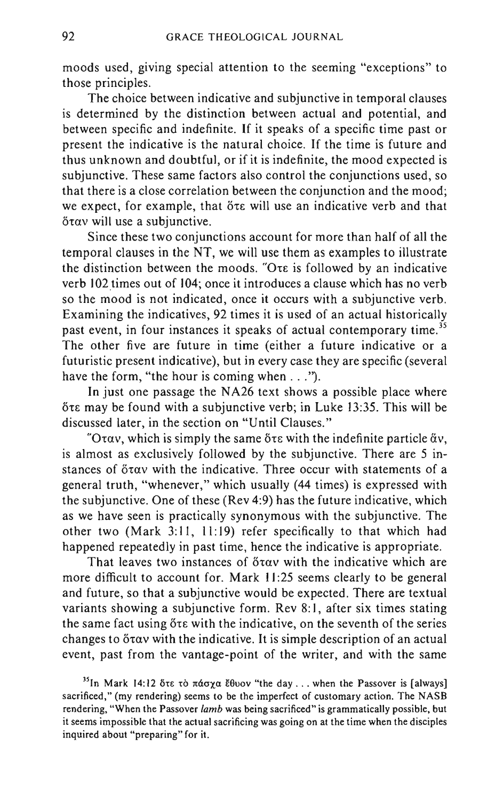moods used, giving special attention to the seeming "exceptions" to those principles.

The choice between indicative and subjunctive in temporal clauses is determined by the distinction between actual and potential, and between specific and indefinite. If it speaks of a specific time past or present the indicative is the natural choice. If the time is future and thus unknown and doubtful, or if it is indefinite, the mood expected is subjunctive. These same factors also control the conjunctions used, so that there is a close correlation between the conjunction and the mood; we expect, for example, that  $\delta \tau \epsilon$  will use an indicative verb and that  $\delta$ tav will use a subjunctive.

Since these two conjunctions account for more than half of all the temporal clauses in the NT, we will use them as examples to illustrate the distinction between the moods. "Ore is followed by an indicative verb 102 times out of 104; once it introduces a clause which has no verb so the mood is not indicated, once it occurs with a subjunctive verb. Examining the indicatives, 92 times it is used of an actual historically past event, in four instances it speaks of actual contemporary time.<sup>35</sup> The other five are future in time (either a future indicative or a futuristic present indicative), but in every case they are specific (several have the form, "the hour is coming when  $\dots$ ").

In just one passage the NA26 text shows a possible place where  $6t\varepsilon$  may be found with a subjunctive verb; in Luke 13:35. This will be discussed later, in the section on "Until Clauses."

"Oray, which is simply the same  $\delta \tau \varepsilon$  with the indefinite particle  $\delta v$ , is almost as exclusively followed by the subjunctive. There are 5 instances of  $\delta \tau \alpha v$  with the indicative. Three occur with statements of a general truth, "whenever," which usually (44 times) is expressed with the subjunctive. One of these (Rev 4:9) has the future indicative, which as we have seen is practically synonymous with the subjunctive. The other two (Mark 3:11, 11:19) refer specifically to that which had happened repeatedly in past time, hence the indicative is appropriate.

That leaves two instances of  $\delta \tau \alpha v$  with the indicative which are more difficult to account for. Mark 11:25 seems clearly to be general and future, so that a subjunctive would be expected. There are textual variants showing a subjunctive form. Rev 8:1, after six times stating the same fact using ote with the indicative, on the seventh of the series changes to ötav with the indicative. It is simple description of an actual event, past from the vantage-point of the writer, and with the same

<sup>35</sup>In Mark 14:12  $\delta\tau\epsilon$   $\tau\dot{\omega}$   $\pi\dot{\alpha}\sigma\chi\alpha$  E $\theta$ uov "the day ... when the Passover is [always] sacrificed," (my rendering) seems to be the imperfect of customary action. The NASB rendering, "When the Passover *lamb* was being sacrificed" is grammatically possible, but it seems impossible that the actual sacrificing was going on at the time when the disciples inquired about "preparing" for it.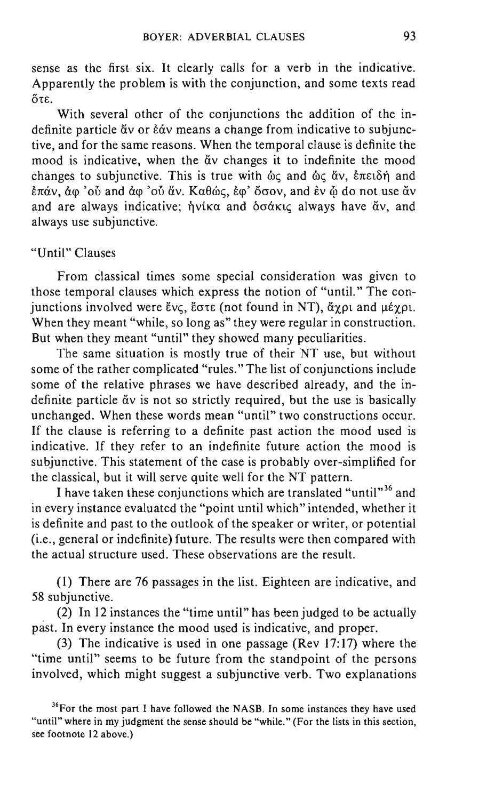sense as the first six. It clearly calls for a verb in the indicative. Apparently the problem is with the conjunction, and some texts read  $\delta \tau \varepsilon$ .

With several other of the conjunctions the addition of the indefinite particle  $\ddot{\alpha}v$  or  $\dot{\epsilon}\dot{\alpha}v$  means a change from indicative to subjunctive, and for the same reasons. When the temporal clause is definite the mood is indicative, when the  $\ddot{\alpha}$  changes it to indefinite the mood changes to subjunctive. This is true with  $\dot{\omega}_{\zeta}$  and  $\dot{\omega}_{\zeta}$   $\ddot{\alpha}v$ ,  $\dot{\epsilon}\pi\varepsilon\omega_0\dot{\zeta}$  and  $\epsilon \pi \dot{\alpha}$ ν, άφ 'oὖ and άφ 'oὖ ἄν. Καθώς, έφ' ὄσον, and έν  $\ddot{\omega}$  do not use ἄν and are always indicative;  $\eta v$ ika and  $\delta \sigma \alpha k$ uc always have  $\alpha v$ , and always use subjunctive.

### "Until" Clauses

From classical times some special consideration was given to those temporal clauses which express the notion of "until." The conjunctions involved were  $\zeta v \zeta$ ,  $\zeta \sigma \tau \epsilon$  (not found in NT),  $\zeta \chi \rho \tau$  and  $\mu \zeta \chi \rho \tau$ . When they meant "while, so long as" they were regular in construction. But when they meant "until" they showed many peculiarities.

The same situation is mostly true of their NT use, but without some of the rather complicated "rules." The list of conjunctions include some of the relative phrases we have described already, and the indefinite particle  $\alpha v$  is not so strictly required, but the use is basically unchanged. When these words mean "until" two constructions occur. If the clause is referring to a definite past action the mood used is indicative. If they refer to an indefinite future action the mood is subjunctive. This statement of the case is probably over-simplified for the classical, but it will serve quite well for the NT pattern.

I have taken these conjunctions which are translated "until"<sup>36</sup> and in every instance evaluated the "point until which" intended, whether it is definite and past to the outlook of the speaker or writer, or potential (i.e., general or indefinite) future. The results were then compared with the actual structure used. These observations are the result.

(1) There are 76 passages in the list. Eighteen are indicative, and 58 sUbjunctive.

(2) In 12 instances the "time until" has been judged to be actually past. In every instance the mood used is indicative, and proper.

(3) The indicative is used in one passage (Rev  $17:17$ ) where the "time until" seems to be future from the standpoint of the persons involved, which might suggest a subjunctive verb. Two explanations

<sup>&</sup>lt;sup>36</sup>For the most part I have followed the NASB. In some instances they have used "until" where in my judgment the sense should be "while." (For the lists in this section, see footnote 12 above.)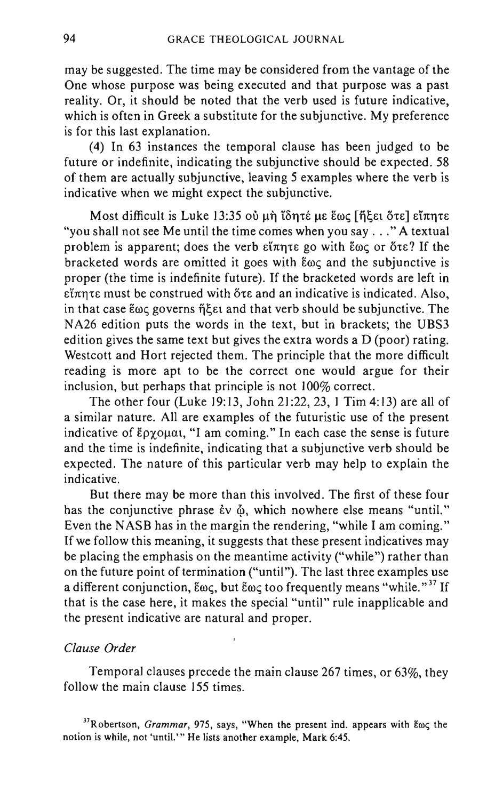may be suggested. The time may be considered from the vantage of the One whose purpose was being executed and that purpose was a past reality. Or, it should be noted that the verb used is future indicative, which is often in Greek a substitute for the subjunctive. My preference is for this last explanation.

(4) In 63 instances the temporal clause has been judged to be future or indefinite, indicating the subjunctive should be expected. 58 of them are actually subjunctive, leaving 5 examples where the verb is indicative when we might expect the subjunctive.

Most difficult is Luke 13:35 où µnဲ lδητέ με έως [ήξει ότε] είπητε "you shall not see Me until the time comes when you say ... " A textual problem is apparent; does the verb  $\epsilon\tilde{\ell}\pi\eta\tau\epsilon$  go with  $\epsilon\omega\zeta$  or  $\delta\tau\epsilon$ ? If the bracketed words are omitted it goes with  $\epsilon_{\omega\zeta}$  and the subjunctive is proper (the time is indefinite future). If the bracketed words are left in  $\epsilon$ i $\pi$ nte must be construed with  $\delta$ te and an indicative is indicated. Also, in that case  $\epsilon\omega\varsigma$  governs  $\eta\xi\epsilon\iota$  and that verb should be subjunctive. The NA26 edition puts the words in the text, but in brackets; the UBS3 edition gives the same text but gives the extra words a D (poor) rating. Westcott and Hort rejected them. The principle that the more difficult reading is more apt to be the correct one would argue for their inclusion, but perhaps that principle is not 100% correct.

The other four (Luke 19: 13, John 21 :22, 23, 1 Tim 4: 13) are all of a similar nature. All are examples of the futuristic use of the present indicative of  $\epsilon_{\text{PX}}$  $\alpha$ uat, "I am coming." In each case the sense is future and the time is indefinite, indicating that a subjunctive verb should be expected. The nature of this particular verb may help to explain the indicative.

But there may be more than this involved. The first of these four has the conjunctive phrase  $\dot{\epsilon}v \phi$ , which nowhere else means "until." Even the NASB has in the margin the rendering, "while I am coming." If we follow this meaning, it suggests that these present indicatives may be placing the emphasis on the meantime activity ("while") rather than on the future point of termination ("until"). The last three examples use a different conjunction,  $\epsilon \omega \zeta$ , but  $\epsilon \omega \zeta$  too frequently means "while."<sup>37</sup> If that is the case here, it makes the special "until" rule inapplicable and the present indicative are natural and proper.

#### *Clause Order*

Temporal clauses precede the main clause 267 times, or 63%, they follow the main clause 155 times.

<sup>37</sup>Robertson, Grammar, 975, says, "When the present ind. appears with  $\mathcal{E} \omega \varsigma$  the notion is while, not 'until.'" He lists another example, Mark 6:45.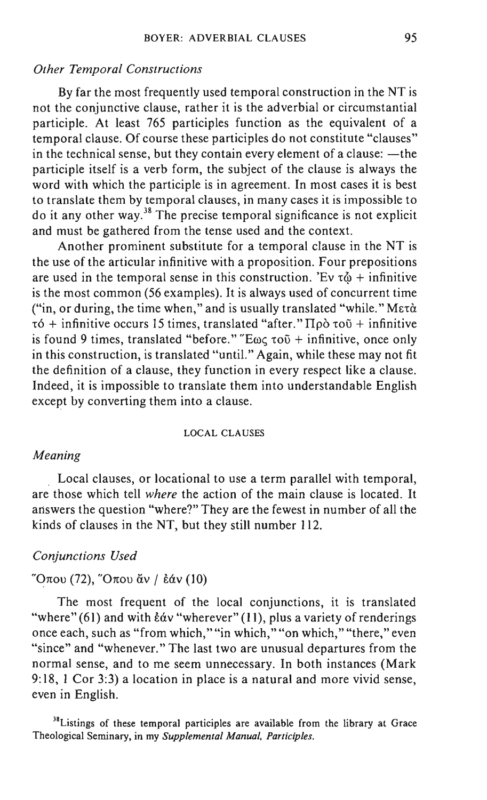#### *Other Temporal Constructions*

By far the most frequently used temporal construction in the NT is not the conjunctive clause, rather it is the adverbial or circumstantial participle. At least 765 participles function as the equivalent of a temporal clause. Of course these participles do not constitute "clauses" in the technical sense, but they contain every element of a clause:  $-\text{the}$ participle itself is a verb form, the subject of the clause is always the word with which the participle is in agreement. In most cases it is best to translate them by temporal clauses, in many cases it is impossible to do it any other way.38 The precise temporal significance is not explicit and must be gathered from the tense used and the context.

Another prominent substitute for a temporal clause in the NT is the use of the articular infinitive with a proposition. Four prepositions are used in the temporal sense in this construction. 'Ev  $\tau \ddot{\omega}$  + infinitive is the most common (56 examples). It is always used of concurrent time ("in, or during, the time when," and is usually translated "while."  $M\varepsilon\tau\dot{\alpha}$  $\tau$ 6 + infinitive occurs 15 times, translated "after."  $\Pi \rho \dot{\rho} \tau$  ou + infinitive is found 9 times, translated "before." "E $\omega \zeta \tau$  to  $\zeta$  + infinitive, once only in this construction, is translated "until." Again, while these may not fit the definition of a clause, they function in every respect like a clause. Indeed, it is impossible to translate them into understandable English except by converting them into a clause.

#### LOCAL CLAUSES

#### *Meaning*

Local clauses, or locational to use a term parallel with temporal, are those which tell *where* the action of the main clause is located. It answers the question "where?" They are the fewest in number of all the kinds of clauses in the NT, but they still number 112.

#### *Conjunctions Used*

#### "Όπου (72), "Όπου ἄν / ἐάν (10)

The most frequent of the local conjunctions, it is translated "where" (61) and with  $\frac{\epsilon}{\alpha}$  "wherever" (11), plus a variety of renderings once each, such as "from which," "in which," "on which," "there," even "since" and "whenever." The last two are unusual departures from the normal sense, and to me seem unnecessary. In both instances (Mark 9: 18, 1 Cor 3:3) a location in place is a natural and more vivid sense, even in English.

<sup>38</sup>Listings of these temporal participles are available from the library at Grace Theological Seminary, in my *Supplemental Manual, Participles.*